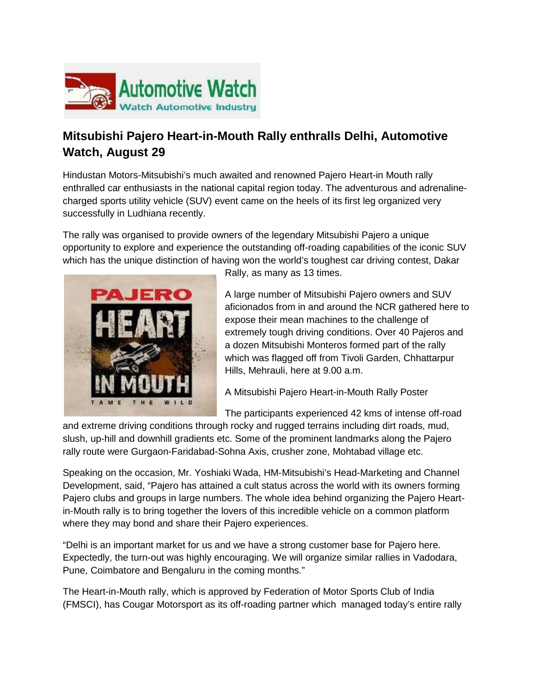

## **Mitsubishi Pajero Heart-in-Mouth Rally enthralls Delhi, Automotive Watch, August 29**

Hindustan Motors-Mitsubishi's much awaited and renowned Pajero Heart-in Mouth rally enthralled car enthusiasts in the national capital region today. The adventurous and adrenalinecharged sports utility vehicle (SUV) event came on the heels of its first leg organized very successfully in Ludhiana recently.

The rally was organised to provide owners of the legendary Mitsubishi Pajero a unique opportunity to explore and experience the outstanding off-roading capabilities of the iconic SUV which has the unique distinction of having won the world's toughest car driving contest, Dakar



Rally, as many as 13 times.

A large number of Mitsubishi Pajero owners and SUV aficionados from in and around the NCR gathered here to expose their mean machines to the challenge of extremely tough driving conditions. Over 40 Pajeros and a dozen Mitsubishi Monteros formed part of the rally which was flagged off from Tivoli Garden, Chhattarpur Hills, Mehrauli, here at 9.00 a.m.

A Mitsubishi Pajero Heart-in-Mouth Rally Poster

The participants experienced 42 kms of intense off-road

and extreme driving conditions through rocky and rugged terrains including dirt roads, mud, slush, up-hill and downhill gradients etc. Some of the prominent landmarks along the Pajero rally route were Gurgaon-Faridabad-Sohna Axis, crusher zone, Mohtabad village etc.

Speaking on the occasion, Mr. Yoshiaki Wada, HM-Mitsubishi's Head-Marketing and Channel Development, said, "Pajero has attained a cult status across the world with its owners forming Pajero clubs and groups in large numbers. The whole idea behind organizing the Pajero Heartin-Mouth rally is to bring together the lovers of this incredible vehicle on a common platform where they may bond and share their Pajero experiences.

"Delhi is an important market for us and we have a strong customer base for Pajero here. Expectedly, the turn-out was highly encouraging. We will organize similar rallies in Vadodara, Pune, Coimbatore and Bengaluru in the coming months."

The Heart-in-Mouth rally, which is approved by Federation of Motor Sports Club of India (FMSCI), has Cougar Motorsport as its off-roading partner which managed today's entire rally